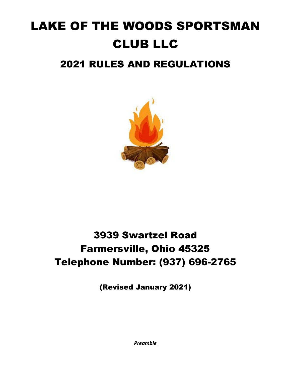# LAKE OF THE WOODS SPORTSMAN CLUB LLC 2021 RULES AND REGULATIONS



# 3939 Swartzel Road Farmersville, Ohio 45325 Telephone Number: (937) 696-2765

(Revised January 2021)

*Preamble*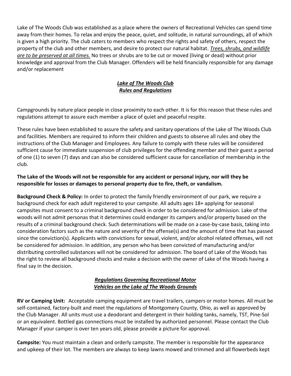Lake of The Woods Club was established as a place where the owners of Recreational Vehicles can spend time away from their homes. To relax and enjoy the peace, quiet, and solitude, in natural surroundings, all of which is given a high priority. The club caters to members who respect the rights and safety of others, respect the property of the club and other members, and desire to protect our natural habitat. *Trees, shrubs, and wildlife are to be preserved at all times.* No trees or shrubs are to be cut or moved (living or dead) without prior knowledge and approval from the Club Manager. Offenders will be held financially responsible for any damage and/or replacement

## *Lake of The Woods Club Rules and Regulations*

Campgrounds by nature place people in close proximity to each other. It is for this reason that these rules and regulations attempt to assure each member a place of quiet and peaceful respite.

These rules have been established to assure the safety and sanitary operations of the Lake of The Woods Club and facilities. Members are required to inform their children and guests to observe all rules and obey the instructions of the Club Manager and Employees. Any failure to comply with these rules will be considered sufficient cause for immediate suspension of club privileges for the offending member and their guest a period of one (1) to seven (7) days and can also be considered sufficient cause for cancellation of membership in the club.

#### **The Lake of the Woods will not be responsible for any accident or personal injury, nor will they be responsible for losses or damages to personal property due to fire, theft, or vandalism.**

**Background Check & Policy:** In order to protect the family friendly environment of our park, we require a background check for each adult registered to your campsite. All adults ages 18+ applying for seasonal campsites must consent to a criminal background check in order to be considered for admission. Lake of the woods will not admit personas that it determines could endanger its campers and/or property based on the results of a criminal background check. Such determinations will be made on a case-by-case basis, taking into consideration factors such as the nature and severity of the offense(s) and the amount of time that has passed since the conviction(s). Applicants with convictions for sexual, violent, and/or alcohol related offenses, will not be considered for admission. In addition, any person who has been convicted of manufacturing and/or distributing controlled substances will not be considered for admission. The board of Lake of the Woods has the right to review all background checks and make a decision with the owner of Lake of the Woods having a final say in the decision.

#### *Regulations Governing Recreational Motor Vehicles on the Lake of The Woods Grounds*

**RV or Camping Unit:** Acceptable camping equipment are travel trailers, campers or motor homes. All must be self-contained, factory-built and meet the regulations of Montgomery County, Ohio, as well as approved by the Club Manager. All units must use a deodorant and detergent in their holding tanks, namely, TST, Pine-Sol or an equivalent. Bottled gas connections must be installed by authorized personnel. Please contact the Club Manager if your camper is over ten years old, please provide a picture for approval.

**Campsite:** You must maintain a clean and orderly campsite. The member is responsible for the appearance and upkeep of their lot. The members are always to keep lawns mowed and trimmed and all flowerbeds kept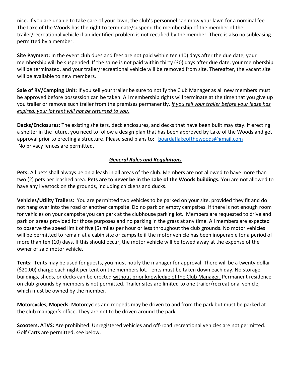nice. If you are unable to take care of your lawn, the club's personnel can mow your lawn for a nominal fee The Lake of the Woods has the right to terminate/suspend the membership of the member of the trailer/recreational vehicle if an identified problem is not rectified by the member. There is also no subleasing permitted by a member.

**Site Payment:** In the event club dues and fees are not paid within ten (10) days after the due date, your membership will be suspended. If the same is not paid within thirty (30) days after due date, your membership will be terminated, and your trailer/recreational vehicle will be removed from site. Thereafter, the vacant site will be available to new members.

**Sale of RV/Camping Unit**: If you sell your trailer be sure to notify the Club Manager as all new members must be approved before possession can be taken. All membership rights will terminate at the time that you give up you trailer or remove such trailer from the premises permanently. *If you sell your trailer before your lease has expired, your lot rent will not be returned to you.*

**Decks/Enclosures:** The existing shelters, deck enclosures, and decks that have been built may stay. If erecting a shelter in the future, you need to follow a design plan that has been approved by Lake of the Woods and get approval prior to erecting a structure. Please send plans to: [boardatlakeofthewoods@gmail.com](mailto:boardatlakeofthewoods@gmail.com) No privacy fences are permitted.

### *General Rules and Regulations*

**Pets:** All pets shall always be on a leash in all areas of the club. Members are not allowed to have more than two (2) pets per leashed area. **Pets are to never be in the Lake of the Woods buildings.** You are not allowed to have any livestock on the grounds, including chickens and ducks.

**Vehicles/Utility Trailers:** You are permitted two vehicles to be parked on your site, provided they fit and do not hang over into the road or another campsite. Do no park on empty campsites. If there is not enough room for vehicles on your campsite you can park at the clubhouse parking lot. Members are requested to drive and park on areas provided for those purposes and no parking in the grass at any time. All members are expected to observe the speed limit of five (5) miles per hour or less throughout the club grounds. No motor vehicles will be permitted to remain at a cabin site or campsite if the motor vehicle has been inoperable for a period of more than ten (10) days. If this should occur, the motor vehicle will be towed away at the expense of the owner of said motor vehicle.

**Tents:** Tents may be used for guests, you must notify the manager for approval. There will be a twenty dollar (\$20.00) charge each night per tent on the members lot. Tents must be taken down each day. No storage buildings, sheds, or decks can be erected without prior knowledge of the Club Manager. Permanent residence on club grounds by members is not permitted. Trailer sites are limited to one trailer/recreational vehicle, which must be owned by the member.

**Motorcycles, Mopeds**: Motorcycles and mopeds may be driven to and from the park but must be parked at the club manager's office. They are not to be driven around the park.

**Scooters, ATVS:** Are prohibited. Unregistered vehicles and off-road recreational vehicles are not permitted. Golf Carts are permitted, see below.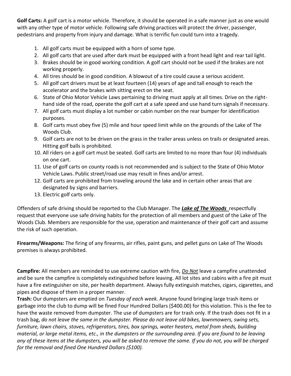**Golf Carts:** A golf cart is a motor vehicle. Therefore, it should be operated in a safe manner just as one would with any other type of motor vehicle. Following safe driving practices will protect the driver, passenger, pedestrians and property from injury and damage. What is terrific fun could turn into a tragedy.

- 1. All golf carts must be equipped with a horn of some type.
- 2. All golf carts that are used after dark must be equipped with a front head light and rear tail light.
- 3. Brakes should be in good working condition. A golf cart should not be used if the brakes are not working properly.
- 4. All tires should be in good condition. A blowout of a tire could cause a serious accident.
- 5. All golf cart drivers must be at least fourteen (14) years of age and tall enough to reach the accelerator and the brakes with sitting erect on the seat.
- 6. State of Ohio Motor Vehicle Laws pertaining to driving must apply at all times. Drive on the righthand side of the road, operate the golf cart at a safe speed and use hand turn signals if necessary.
- 7. All golf carts must display a lot number or cabin number on the rear bumper for identification purposes.
- 8. Golf carts must obey five (5) mile and hour speed limit while on the grounds of the Lake of The Woods Club.
- 9. Golf carts are not to be driven on the grass in the trailer areas unless on trails or designated areas. Hitting golf balls is prohibited.
- 10. All riders on a golf cart must be seated. Golf carts are limited to no more than four (4) individuals on one cart.
- 11. Use of golf carts on county roads is not recommended and is subject to the State of Ohio Motor Vehicle Laws. Public street/road use may result in fines and/or arrest.
- 12. Golf carts are prohibited from traveling around the lake and in certain other areas that are designated by signs and barriers.
- 13. Electric golf carts only.

Offenders of safe driving should be reported to the Club Manager. The *Lake of The Woods* respectfully request that everyone use safe driving habits for the protection of all members and guest of the Lake of The Woods Club. Members are responsible for the use, operation and maintenance of their golf cart and assume the risk of such operation.

**Firearms/Weapons:** The firing of any firearms, air rifles, paint guns, and pellet guns on Lake of The Woods premises is always prohibited.

**Campfire:** All members are reminded to use extreme caution with fire, *Do Not* leave a campfire unattended and be sure the campfire is completely extinguished before leaving. All lot sites and cabins with a fire pit must have a fire extinguisher on site, per health department. Always fully extinguish matches, cigars, cigarettes, and pipes and dispose of them in a proper manner.

**Trash:** Our dumpsters are emptied on *Tuesday of each week.* Anyone found bringing large trash items or garbage into the club to dump will be fined Four Hundred Dollars (\$400.00) for this violation. This is the fee to have the waste removed from dumpster. The use of dumpsters are for trash only. If the trash does not fit in a trash bag, *do not leave the same in the dumpster. Please do not leave old bikes, lawnmowers, swing sets, furniture, lawn chairs, stoves, refrigerators, tires, box springs, water heaters, metal from sheds, building material, or large metal items, etc., in the dumpsters or the surrounding area. If you are found to be leaving any of these items at the dumpsters, you will be asked to remove the same. If you do not, you will be charged for the removal and fined One Hundred Dollars (\$100).*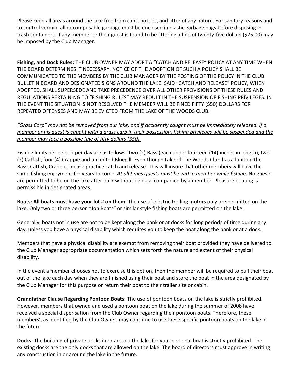Please keep all areas around the lake free from cans, bottles, and litter of any nature. For sanitary reasons and to control vermin, all decomposable garbage must be enclosed in plastic garbage bags before disposing in trash containers. If any member or their guest is found to be littering a fine of twenty-five dollars (\$25.00) may be imposed by the Club Manager.

**Fishing, and Dock Rules:** THE CLUB OWNER MAY ADOPT A "CATCH AND RELEASE" POLICY AT ANY TIME WHEN THE BOARD DETERMINES IT NECESSARY. NOTICE OF THE ADOPTION OF SUCH A POLICY SHALL BE COMMUNICATED TO THE MEMBERS BY THE CLUB MANAGER BY THE POSTING OF THE POLICY IN THE CLUB BULLETIN BOARD AND DESIGNATED SIGNS AROUND THE LAKE. SAID "CATCH AND RELEASE" POLICY, WHEN ADOPTED, SHALL SUPERSEDE AND TAKE PRECEDENCE OVER ALL OTHER PROVISIONS OF THESE RULES AND REGULATIONS PERTAINING TO "FISHING RULES" MAY REDULT IN THE SUSPENSION OF FISHING PRIVILEGES. IN THE EVENT THE SITUATION IS NOT RESOLVED THE MEMBER WILL BE FINED FIFTY (\$50) DOLLARS FOR REPEATED OFFENSES AND MAY BE EVICTED FROM THE LAKE OF THE WOODS CLUB.

*"Grass Carp" may not be removed from our lake, and if accidently caught must be immediately released. If a member or his quest is caught with a grass carp in their possession, fishing privileges will be suspended and the member may face a possible fine of fifty dollars (\$50).*

Fishing limits per person per day are as follows: Two (2) Bass (each under fourteen (14) inches in length), two (2) Catfish, four (4) Crappie and unlimited Bluegill. Even though Lake of The Woods Club has a limit on the Bass, Catfish, Crappie, please practice catch and release. This will insure that other members will have the same fishing enjoyment for years to come. *At all times guests must be with a member while fishing.* No guests are permitted to be on the lake after dark without being accompanied by a member. Pleasure boating is permissible in designated areas.

**Boats: All boats must have your lot # on them.** The use of electric trolling motors only are permitted on the lake. Only two or three person "Jon Boats" or similar style fishing boats are permitted on the lake.

Generally, boats not in use are not to be kept along the bank or at docks for long periods of time during any day, unless you have a physical disability which requires you to keep the boat along the bank or at a dock.

Members that have a physical disability are exempt from removing their boat provided they have delivered to the Club Manager appropriate documentation which sets forth the nature and extent of their physical disability.

In the event a member chooses not to exercise this option, then the member will be required to pull their boat out of the lake each day when they are finished using their boat and store the boat in the area designated by the Club Manager for this purpose or return their boat to their trailer site or cabin.

**Grandfather Clause Regarding Pontoon Boats:** The use of pontoon boats on the lake is strictly prohibited. However, members that owned and used a pontoon boat on the lake during the summer of 2008 have received a special dispensation from the Club Owner regarding their pontoon boats. Therefore, these members', as identified by the Club Owner, may continue to use these specific pontoon boats on the lake in the future.

**Docks:** The building of private docks in or around the lake for your personal boat is strictly prohibited. The existing docks are the only docks that are allowed on the lake. The board of directors must approve in writing any construction in or around the lake in the future.